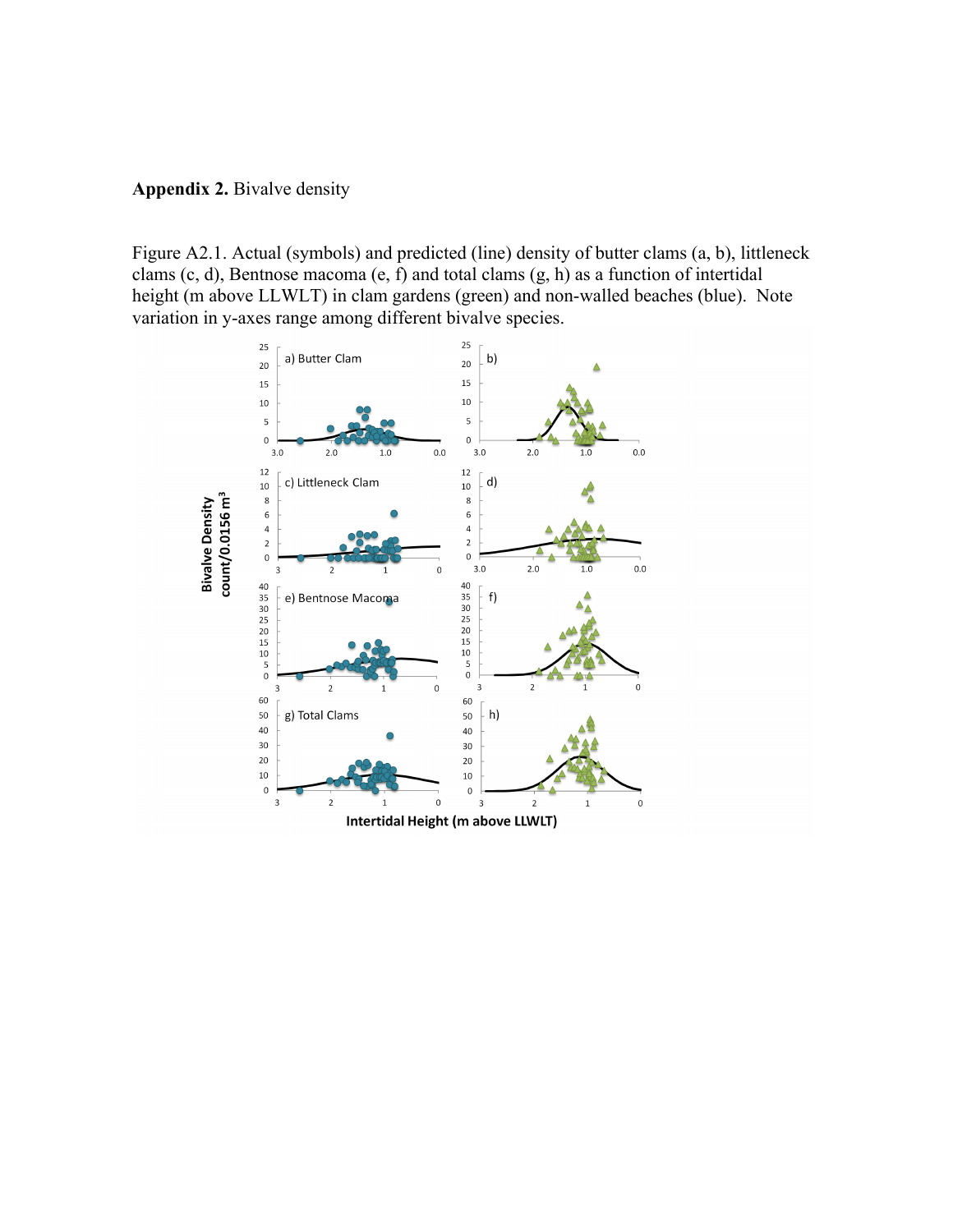

Figure A2.1. Actual (symbols) and predicted (line) density of butter clams (a, b), littleneck clams (c, d), Bentnose macoma (e, f) and total clams (g, h) as a function of intertidal height (m above LLWLT) in clam gardens (green) and non-walled beaches (blue). Note variation in y-axes range among different bivalve species.